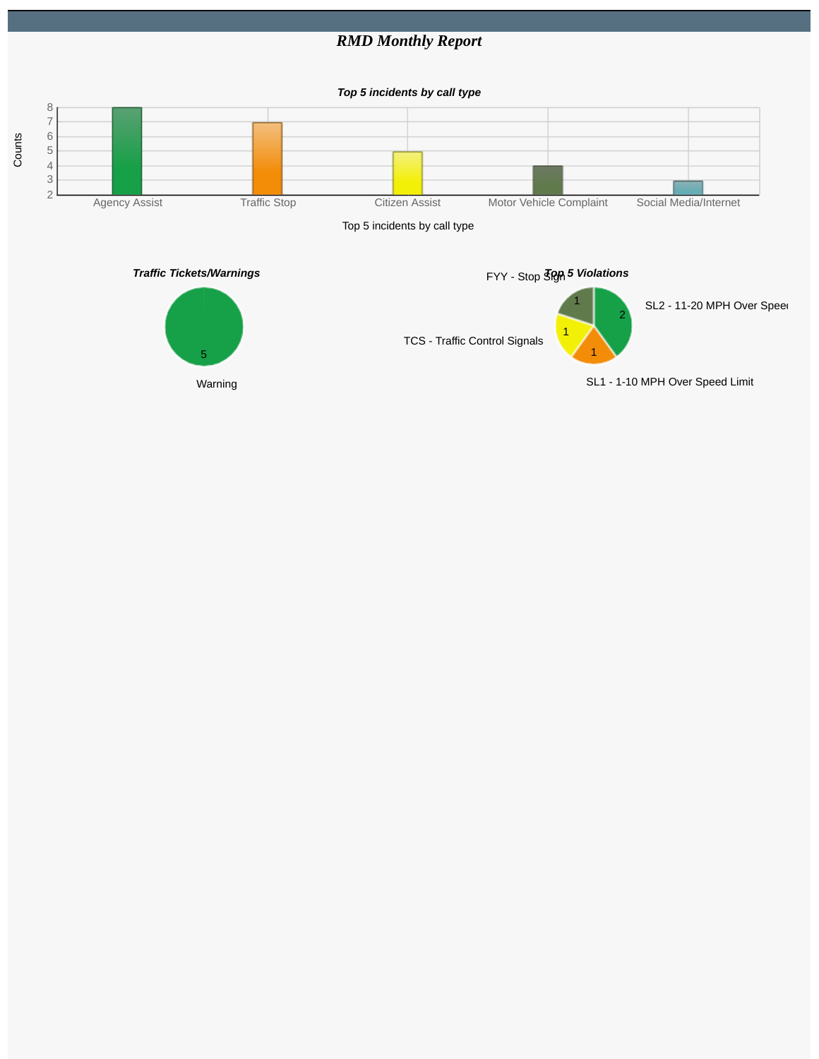## *RMD Monthly Report*

*Top 5 incidents by call type*



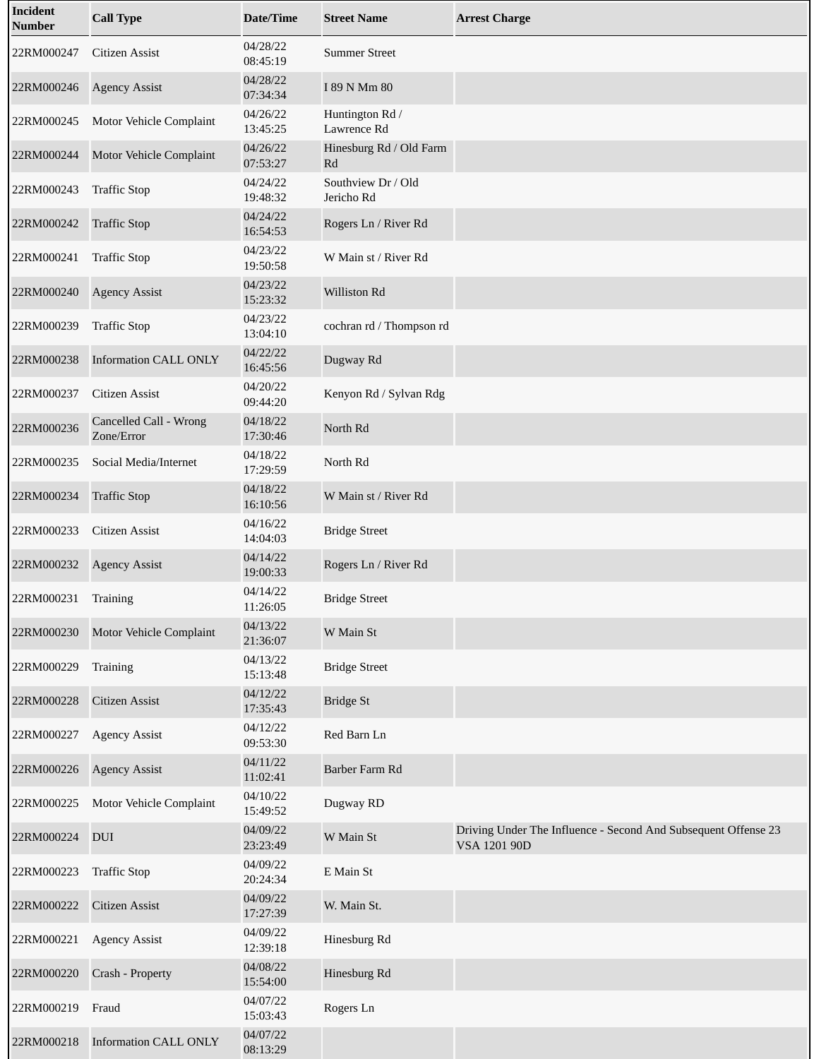| <b>Incident</b><br><b>Number</b> | <b>Call Type</b>                     | <b>Date/Time</b>     | <b>Street Name</b>               | <b>Arrest Charge</b>                                                           |
|----------------------------------|--------------------------------------|----------------------|----------------------------------|--------------------------------------------------------------------------------|
| 22RM000247                       | Citizen Assist                       | 04/28/22<br>08:45:19 | <b>Summer Street</b>             |                                                                                |
| 22RM000246                       | <b>Agency Assist</b>                 | 04/28/22<br>07:34:34 | I 89 N Mm 80                     |                                                                                |
| 22RM000245                       | Motor Vehicle Complaint              | 04/26/22<br>13:45:25 | Huntington Rd /<br>Lawrence Rd   |                                                                                |
| 22RM000244                       | Motor Vehicle Complaint              | 04/26/22<br>07:53:27 | Hinesburg Rd / Old Farm<br>Rd    |                                                                                |
| 22RM000243                       | <b>Traffic Stop</b>                  | 04/24/22<br>19:48:32 | Southview Dr / Old<br>Jericho Rd |                                                                                |
| 22RM000242                       | <b>Traffic Stop</b>                  | 04/24/22<br>16:54:53 | Rogers Ln / River Rd             |                                                                                |
| 22RM000241                       | <b>Traffic Stop</b>                  | 04/23/22<br>19:50:58 | W Main st / River Rd             |                                                                                |
| 22RM000240                       | <b>Agency Assist</b>                 | 04/23/22<br>15:23:32 | Williston Rd                     |                                                                                |
| 22RM000239                       | <b>Traffic Stop</b>                  | 04/23/22<br>13:04:10 | cochran rd / Thompson rd         |                                                                                |
| 22RM000238                       | <b>Information CALL ONLY</b>         | 04/22/22<br>16:45:56 | Dugway Rd                        |                                                                                |
| 22RM000237                       | <b>Citizen Assist</b>                | 04/20/22<br>09:44:20 | Kenyon Rd / Sylvan Rdg           |                                                                                |
| 22RM000236                       | Cancelled Call - Wrong<br>Zone/Error | 04/18/22<br>17:30:46 | North Rd                         |                                                                                |
| 22RM000235                       | Social Media/Internet                | 04/18/22<br>17:29:59 | North Rd                         |                                                                                |
| 22RM000234                       | <b>Traffic Stop</b>                  | 04/18/22<br>16:10:56 | W Main st / River Rd             |                                                                                |
| 22RM000233                       | <b>Citizen Assist</b>                | 04/16/22<br>14:04:03 | <b>Bridge Street</b>             |                                                                                |
| 22RM000232                       | <b>Agency Assist</b>                 | 04/14/22<br>19:00:33 | Rogers Ln / River Rd             |                                                                                |
| 22RM000231                       | Training                             | 04/14/22<br>11:26:05 | <b>Bridge Street</b>             |                                                                                |
| 22RM000230                       | Motor Vehicle Complaint              | 04/13/22<br>21:36:07 | W Main St                        |                                                                                |
| 22RM000229                       | Training                             | 04/13/22<br>15:13:48 | <b>Bridge Street</b>             |                                                                                |
| 22RM000228                       | <b>Citizen Assist</b>                | 04/12/22<br>17:35:43 | <b>Bridge St</b>                 |                                                                                |
| 22RM000227                       | <b>Agency Assist</b>                 | 04/12/22<br>09:53:30 | Red Barn Ln                      |                                                                                |
| 22RM000226                       | <b>Agency Assist</b>                 | 04/11/22<br>11:02:41 | Barber Farm Rd                   |                                                                                |
| 22RM000225                       | Motor Vehicle Complaint              | 04/10/22<br>15:49:52 | Dugway RD                        |                                                                                |
| 22RM000224                       | <b>DUI</b>                           | 04/09/22<br>23:23:49 | W Main St                        | Driving Under The Influence - Second And Subsequent Offense 23<br>VSA 1201 90D |
| 22RM000223                       | <b>Traffic Stop</b>                  | 04/09/22<br>20:24:34 | E Main St                        |                                                                                |
| 22RM000222                       | <b>Citizen Assist</b>                | 04/09/22<br>17:27:39 | W. Main St.                      |                                                                                |
| 22RM000221                       | <b>Agency Assist</b>                 | 04/09/22<br>12:39:18 | Hinesburg Rd                     |                                                                                |
| 22RM000220                       | Crash - Property                     | 04/08/22<br>15:54:00 | Hinesburg Rd                     |                                                                                |
| 22RM000219                       | Fraud                                | 04/07/22<br>15:03:43 | Rogers Ln                        |                                                                                |
| 22RM000218                       | <b>Information CALL ONLY</b>         | 04/07/22<br>08:13:29 |                                  |                                                                                |